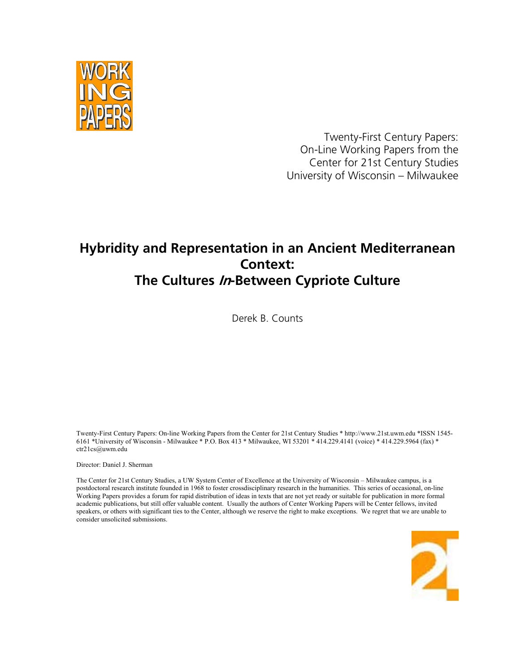

Twenty-First Century Papers: On-Line Working Papers from the Center for 21st Century Studies University of Wisconsin – Milwaukee

# **Hybridity and Representation in an Ancient Mediterranean Context: The Cultures In-Between Cypriote Culture**

Derek B. Counts

Twenty-First Century Papers: On-line Working Papers from the Center for 21st Century Studies \* http://www.21st.uwm.edu \*ISSN 1545- 6161 \*University of Wisconsin - Milwaukee \* P.O. Box 413 \* Milwaukee, WI 53201 \* 414.229.4141 (voice) \* 414.229.5964 (fax) \* ctr21cs@uwm.edu

Director: Daniel J. Sherman

The Center for 21st Century Studies, a UW System Center of Excellence at the University of Wisconsin – Milwaukee campus, is a postdoctoral research institute founded in 1968 to foster crossdisciplinary research in the humanities. This series of occasional, on-line Working Papers provides a forum for rapid distribution of ideas in texts that are not yet ready or suitable for publication in more formal academic publications, but still offer valuable content. Usually the authors of Center Working Papers will be Center fellows, invited speakers, or others with significant ties to the Center, although we reserve the right to make exceptions. We regret that we are unable to consider unsolicited submissions.

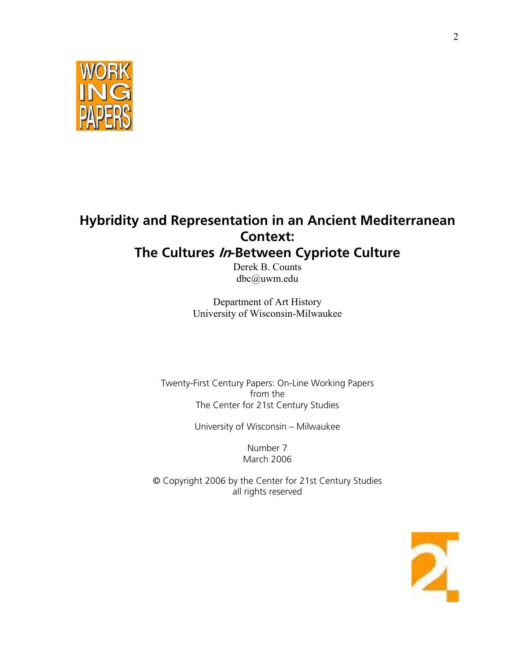

# **Hybridity and Representation in an Ancient Mediterranean Context:**

# **The Cultures In-Between Cypriote Culture**

Derek B. Counts dbc@uwm.edu

Department of Art History University of Wisconsin-Milwaukee

Twenty-First Century Papers: On-Line Working Papers from the The Center for 21st Century Studies

University of Wisconsin – Milwaukee

Number 7 March 2006

© Copyright 2006 by the Center for 21st Century Studies all rights reserved

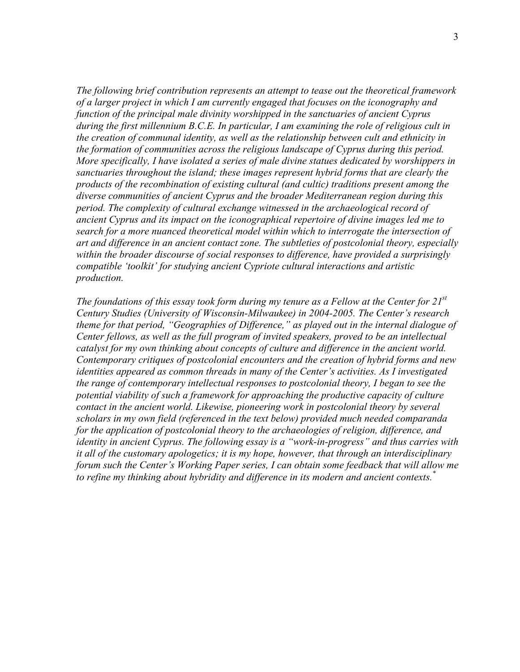*The following brief contribution represents an attempt to tease out the theoretical framework of a larger project in which I am currently engaged that focuses on the iconography and function of the principal male divinity worshipped in the sanctuaries of ancient Cyprus during the first millennium B.C.E. In particular, I am examining the role of religious cult in the creation of communal identity, as well as the relationship between cult and ethnicity in the formation of communities across the religious landscape of Cyprus during this period. More specifically, I have isolated a series of male divine statues dedicated by worshippers in sanctuaries throughout the island; these images represent hybrid forms that are clearly the products of the recombination of existing cultural (and cultic) traditions present among the diverse communities of ancient Cyprus and the broader Mediterranean region during this period. The complexity of cultural exchange witnessed in the archaeological record of ancient Cyprus and its impact on the iconographical repertoire of divine images led me to search for a more nuanced theoretical model within which to interrogate the intersection of art and difference in an ancient contact zone. The subtleties of postcolonial theory, especially within the broader discourse of social responses to difference, have provided a surprisingly compatible 'toolkit' for studying ancient Cypriote cultural interactions and artistic production.* 

*The foundations of this essay took form during my tenure as a Fellow at the Center for 21st Century Studies (University of Wisconsin-Milwaukee) in 2004-2005. The Center's research theme for that period, "Geographies of Difference," as played out in the internal dialogue of Center fellows, as well as the full program of invited speakers, proved to be an intellectual catalyst for my own thinking about concepts of culture and difference in the ancient world. Contemporary critiques of postcolonial encounters and the creation of hybrid forms and new identities appeared as common threads in many of the Center's activities. As I investigated the range of contemporary intellectual responses to postcolonial theory, I began to see the potential viability of such a framework for approaching the productive capacity of culture contact in the ancient world. Likewise, pioneering work in postcolonial theory by several scholars in my own field (referenced in the text below) provided much needed comparanda for the application of postcolonial theory to the archaeologies of religion, difference, and identity in ancient Cyprus. The following essay is a "work-in-progress" and thus carries with it all of the customary apologetics; it is my hope, however, that through an interdisciplinary forum such the Center's Working Paper series, I can obtain some feedback that will allow me to refine my thinking about hybridity and difference in its modern and ancient contexts.\**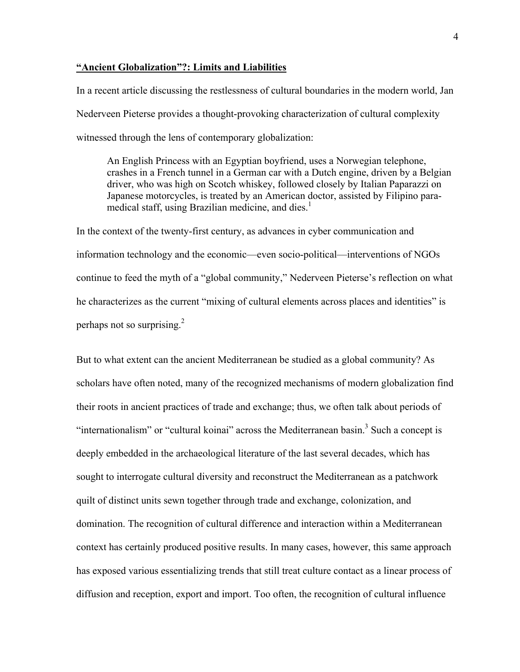## **"Ancient Globalization"?: Limits and Liabilities**

In a recent article discussing the restlessness of cultural boundaries in the modern world, Jan Nederveen Pieterse provides a thought-provoking characterization of cultural complexity witnessed through the lens of contemporary globalization:

An English Princess with an Egyptian boyfriend, uses a Norwegian telephone, crashes in a French tunnel in a German car with a Dutch engine, driven by a Belgian driver, who was high on Scotch whiskey, followed closely by Italian Paparazzi on Japanese motorcycles, is treated by an American doctor, assisted by Filipino paramedical staff, using Brazilian medicine, and dies.<sup>1</sup>

In the context of the twenty-first century, as advances in cyber communication and information technology and the economic—even socio-political—interventions of NGOs continue to feed the myth of a "global community," Nederveen Pieterse's reflection on what he characterizes as the current "mixing of cultural elements across places and identities" is perhaps not so surprising. $^{2}$ 

But to what extent can the ancient Mediterranean be studied as a global community? As scholars have often noted, many of the recognized mechanisms of modern globalization find their roots in ancient practices of trade and exchange; thus, we often talk about periods of "internationalism" or "cultural koinai" across the Mediterranean basin.<sup>3</sup> Such a concept is deeply embedded in the archaeological literature of the last several decades, which has sought to interrogate cultural diversity and reconstruct the Mediterranean as a patchwork quilt of distinct units sewn together through trade and exchange, colonization, and domination. The recognition of cultural difference and interaction within a Mediterranean context has certainly produced positive results. In many cases, however, this same approach has exposed various essentializing trends that still treat culture contact as a linear process of diffusion and reception, export and import. Too often, the recognition of cultural influence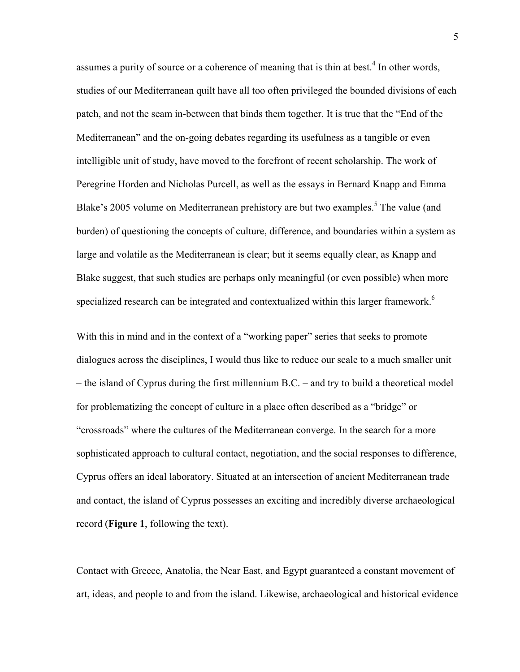assumes a purity of source or a coherence of meaning that is thin at best.<sup>4</sup> In other words, studies of our Mediterranean quilt have all too often privileged the bounded divisions of each patch, and not the seam in-between that binds them together. It is true that the "End of the Mediterranean" and the on-going debates regarding its usefulness as a tangible or even intelligible unit of study, have moved to the forefront of recent scholarship. The work of Peregrine Horden and Nicholas Purcell, as well as the essays in Bernard Knapp and Emma Blake's 2005 volume on Mediterranean prehistory are but two examples.<sup>5</sup> The value (and burden) of questioning the concepts of culture, difference, and boundaries within a system as large and volatile as the Mediterranean is clear; but it seems equally clear, as Knapp and Blake suggest, that such studies are perhaps only meaningful (or even possible) when more specialized research can be integrated and contextualized within this larger framework.<sup>6</sup>

With this in mind and in the context of a "working paper" series that seeks to promote dialogues across the disciplines, I would thus like to reduce our scale to a much smaller unit – the island of Cyprus during the first millennium B.C. – and try to build a theoretical model for problematizing the concept of culture in a place often described as a "bridge" or "crossroads" where the cultures of the Mediterranean converge. In the search for a more sophisticated approach to cultural contact, negotiation, and the social responses to difference, Cyprus offers an ideal laboratory. Situated at an intersection of ancient Mediterranean trade and contact, the island of Cyprus possesses an exciting and incredibly diverse archaeological record (**Figure 1**, following the text).

Contact with Greece, Anatolia, the Near East, and Egypt guaranteed a constant movement of art, ideas, and people to and from the island. Likewise, archaeological and historical evidence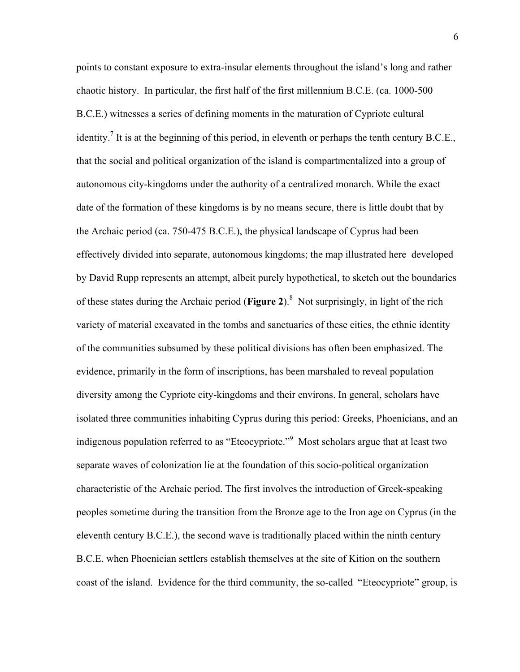points to constant exposure to extra-insular elements throughout the island's long and rather chaotic history. In particular, the first half of the first millennium B.C.E. (ca. 1000-500 B.C.E.) witnesses a series of defining moments in the maturation of Cypriote cultural identity.<sup>7</sup> It is at the beginning of this period, in eleventh or perhaps the tenth century B.C.E., that the social and political organization of the island is compartmentalized into a group of autonomous city-kingdoms under the authority of a centralized monarch. While the exact date of the formation of these kingdoms is by no means secure, there is little doubt that by the Archaic period (ca. 750-475 B.C.E.), the physical landscape of Cyprus had been effectively divided into separate, autonomous kingdoms; the map illustrated here developed by David Rupp represents an attempt, albeit purely hypothetical, to sketch out the boundaries of these states during the Archaic period (**Figure 2**).<sup>8</sup> Not surprisingly, in light of the rich variety of material excavated in the tombs and sanctuaries of these cities, the ethnic identity of the communities subsumed by these political divisions has often been emphasized. The evidence, primarily in the form of inscriptions, has been marshaled to reveal population diversity among the Cypriote city-kingdoms and their environs. In general, scholars have isolated three communities inhabiting Cyprus during this period: Greeks, Phoenicians, and an indigenous population referred to as "Eteocypriote."<sup>9</sup> Most scholars argue that at least two separate waves of colonization lie at the foundation of this socio-political organization characteristic of the Archaic period. The first involves the introduction of Greek-speaking peoples sometime during the transition from the Bronze age to the Iron age on Cyprus (in the eleventh century B.C.E.), the second wave is traditionally placed within the ninth century B.C.E. when Phoenician settlers establish themselves at the site of Kition on the southern coast of the island. Evidence for the third community, the so-called "Eteocypriote" group, is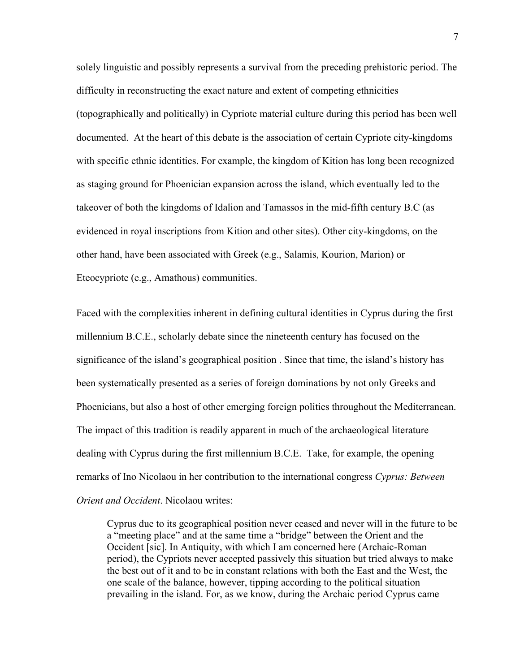solely linguistic and possibly represents a survival from the preceding prehistoric period. The difficulty in reconstructing the exact nature and extent of competing ethnicities (topographically and politically) in Cypriote material culture during this period has been well documented. At the heart of this debate is the association of certain Cypriote city-kingdoms with specific ethnic identities. For example, the kingdom of Kition has long been recognized as staging ground for Phoenician expansion across the island, which eventually led to the takeover of both the kingdoms of Idalion and Tamassos in the mid-fifth century B.C (as evidenced in royal inscriptions from Kition and other sites). Other city-kingdoms, on the other hand, have been associated with Greek (e.g., Salamis, Kourion, Marion) or Eteocypriote (e.g., Amathous) communities.

Faced with the complexities inherent in defining cultural identities in Cyprus during the first millennium B.C.E., scholarly debate since the nineteenth century has focused on the significance of the island's geographical position . Since that time, the island's history has been systematically presented as a series of foreign dominations by not only Greeks and Phoenicians, but also a host of other emerging foreign polities throughout the Mediterranean. The impact of this tradition is readily apparent in much of the archaeological literature dealing with Cyprus during the first millennium B.C.E. Take, for example, the opening remarks of Ino Nicolaou in her contribution to the international congress *Cyprus: Between Orient and Occident*. Nicolaou writes:

Cyprus due to its geographical position never ceased and never will in the future to be a "meeting place" and at the same time a "bridge" between the Orient and the Occident [sic]. In Antiquity, with which I am concerned here (Archaic-Roman period), the Cypriots never accepted passively this situation but tried always to make the best out of it and to be in constant relations with both the East and the West, the one scale of the balance, however, tipping according to the political situation prevailing in the island. For, as we know, during the Archaic period Cyprus came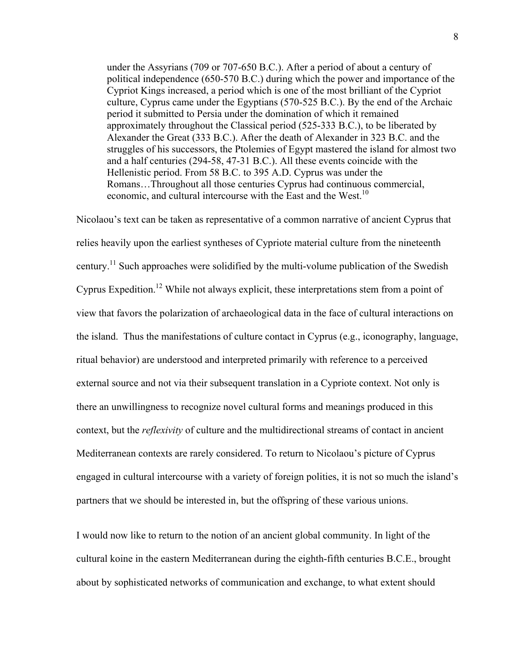under the Assyrians (709 or 707-650 B.C.). After a period of about a century of political independence (650-570 B.C.) during which the power and importance of the Cypriot Kings increased, a period which is one of the most brilliant of the Cypriot culture, Cyprus came under the Egyptians (570-525 B.C.). By the end of the Archaic period it submitted to Persia under the domination of which it remained approximately throughout the Classical period (525-333 B.C.), to be liberated by Alexander the Great (333 B.C.). After the death of Alexander in 323 B.C. and the struggles of his successors, the Ptolemies of Egypt mastered the island for almost two and a half centuries (294-58, 47-31 B.C.). All these events coincide with the Hellenistic period. From 58 B.C. to 395 A.D. Cyprus was under the Romans…Throughout all those centuries Cyprus had continuous commercial, economic, and cultural intercourse with the East and the West.<sup>10</sup>

Nicolaou's text can be taken as representative of a common narrative of ancient Cyprus that relies heavily upon the earliest syntheses of Cypriote material culture from the nineteenth century.<sup>11</sup> Such approaches were solidified by the multi-volume publication of the Swedish Cyprus Expedition.<sup>12</sup> While not always explicit, these interpretations stem from a point of view that favors the polarization of archaeological data in the face of cultural interactions on the island. Thus the manifestations of culture contact in Cyprus (e.g., iconography, language, ritual behavior) are understood and interpreted primarily with reference to a perceived external source and not via their subsequent translation in a Cypriote context. Not only is there an unwillingness to recognize novel cultural forms and meanings produced in this context, but the *reflexivity* of culture and the multidirectional streams of contact in ancient Mediterranean contexts are rarely considered. To return to Nicolaou's picture of Cyprus engaged in cultural intercourse with a variety of foreign polities, it is not so much the island's partners that we should be interested in, but the offspring of these various unions.

I would now like to return to the notion of an ancient global community. In light of the cultural koine in the eastern Mediterranean during the eighth-fifth centuries B.C.E., brought about by sophisticated networks of communication and exchange, to what extent should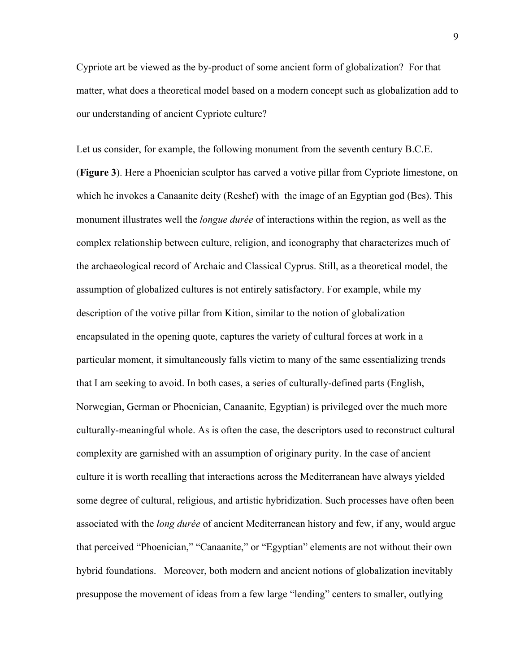Cypriote art be viewed as the by-product of some ancient form of globalization? For that matter, what does a theoretical model based on a modern concept such as globalization add to our understanding of ancient Cypriote culture?

Let us consider, for example, the following monument from the seventh century B.C.E. (**Figure 3**). Here a Phoenician sculptor has carved a votive pillar from Cypriote limestone, on which he invokes a Canaanite deity (Reshef) with the image of an Egyptian god (Bes). This monument illustrates well the *longue durée* of interactions within the region, as well as the complex relationship between culture, religion, and iconography that characterizes much of the archaeological record of Archaic and Classical Cyprus. Still, as a theoretical model, the assumption of globalized cultures is not entirely satisfactory. For example, while my description of the votive pillar from Kition, similar to the notion of globalization encapsulated in the opening quote, captures the variety of cultural forces at work in a particular moment, it simultaneously falls victim to many of the same essentializing trends that I am seeking to avoid. In both cases, a series of culturally-defined parts (English, Norwegian, German or Phoenician, Canaanite, Egyptian) is privileged over the much more culturally-meaningful whole. As is often the case, the descriptors used to reconstruct cultural complexity are garnished with an assumption of originary purity. In the case of ancient culture it is worth recalling that interactions across the Mediterranean have always yielded some degree of cultural, religious, and artistic hybridization. Such processes have often been associated with the *long durée* of ancient Mediterranean history and few, if any, would argue that perceived "Phoenician," "Canaanite," or "Egyptian" elements are not without their own hybrid foundations. Moreover, both modern and ancient notions of globalization inevitably presuppose the movement of ideas from a few large "lending" centers to smaller, outlying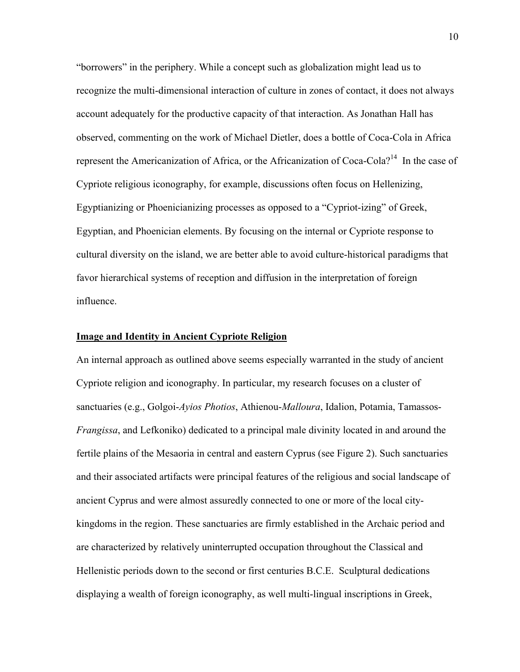"borrowers" in the periphery. While a concept such as globalization might lead us to recognize the multi-dimensional interaction of culture in zones of contact, it does not always account adequately for the productive capacity of that interaction. As Jonathan Hall has observed, commenting on the work of Michael Dietler, does a bottle of Coca-Cola in Africa represent the Americanization of Africa, or the Africanization of Coca-Cola?<sup>14</sup> In the case of Cypriote religious iconography, for example, discussions often focus on Hellenizing, Egyptianizing or Phoenicianizing processes as opposed to a "Cypriot-izing" of Greek, Egyptian, and Phoenician elements. By focusing on the internal or Cypriote response to cultural diversity on the island, we are better able to avoid culture-historical paradigms that favor hierarchical systems of reception and diffusion in the interpretation of foreign influence.

## **Image and Identity in Ancient Cypriote Religion**

An internal approach as outlined above seems especially warranted in the study of ancient Cypriote religion and iconography. In particular, my research focuses on a cluster of sanctuaries (e.g., Golgoi-*Ayios Photios*, Athienou-*Malloura*, Idalion, Potamia, Tamassos-*Frangissa*, and Lefkoniko) dedicated to a principal male divinity located in and around the fertile plains of the Mesaoria in central and eastern Cyprus (see Figure 2). Such sanctuaries and their associated artifacts were principal features of the religious and social landscape of ancient Cyprus and were almost assuredly connected to one or more of the local citykingdoms in the region. These sanctuaries are firmly established in the Archaic period and are characterized by relatively uninterrupted occupation throughout the Classical and Hellenistic periods down to the second or first centuries B.C.E. Sculptural dedications displaying a wealth of foreign iconography, as well multi-lingual inscriptions in Greek,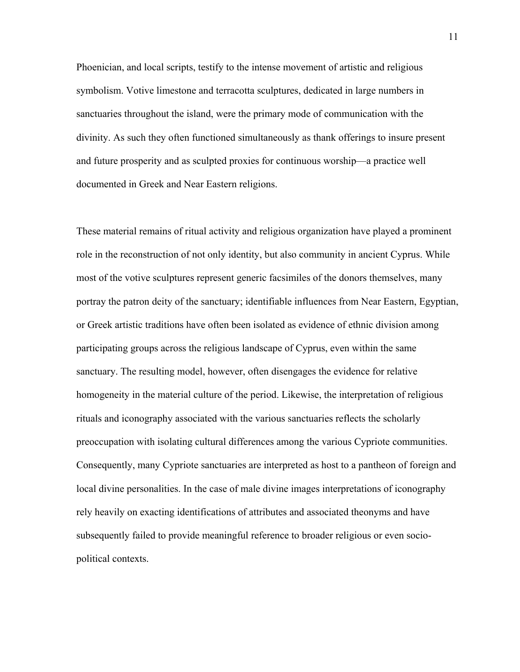Phoenician, and local scripts, testify to the intense movement of artistic and religious symbolism. Votive limestone and terracotta sculptures, dedicated in large numbers in sanctuaries throughout the island, were the primary mode of communication with the divinity. As such they often functioned simultaneously as thank offerings to insure present and future prosperity and as sculpted proxies for continuous worship—a practice well documented in Greek and Near Eastern religions.

These material remains of ritual activity and religious organization have played a prominent role in the reconstruction of not only identity, but also community in ancient Cyprus. While most of the votive sculptures represent generic facsimiles of the donors themselves, many portray the patron deity of the sanctuary; identifiable influences from Near Eastern, Egyptian, or Greek artistic traditions have often been isolated as evidence of ethnic division among participating groups across the religious landscape of Cyprus, even within the same sanctuary. The resulting model, however, often disengages the evidence for relative homogeneity in the material culture of the period. Likewise, the interpretation of religious rituals and iconography associated with the various sanctuaries reflects the scholarly preoccupation with isolating cultural differences among the various Cypriote communities. Consequently, many Cypriote sanctuaries are interpreted as host to a pantheon of foreign and local divine personalities. In the case of male divine images interpretations of iconography rely heavily on exacting identifications of attributes and associated theonyms and have subsequently failed to provide meaningful reference to broader religious or even sociopolitical contexts.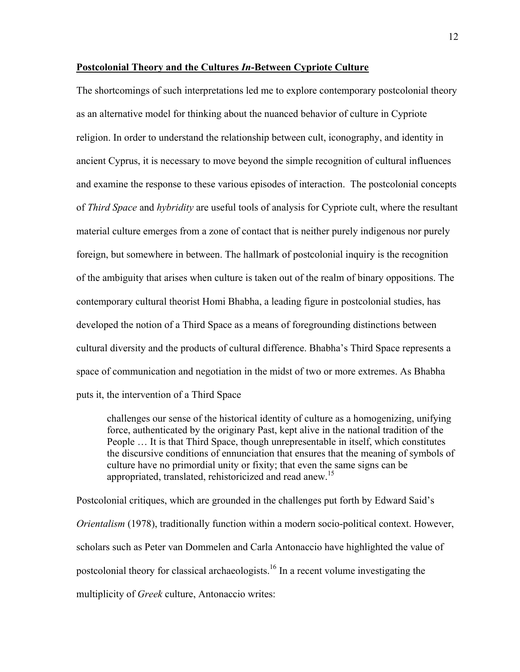#### **Postcolonial Theory and the Cultures** *In***-Between Cypriote Culture**

The shortcomings of such interpretations led me to explore contemporary postcolonial theory as an alternative model for thinking about the nuanced behavior of culture in Cypriote religion. In order to understand the relationship between cult, iconography, and identity in ancient Cyprus, it is necessary to move beyond the simple recognition of cultural influences and examine the response to these various episodes of interaction. The postcolonial concepts of *Third Space* and *hybridity* are useful tools of analysis for Cypriote cult, where the resultant material culture emerges from a zone of contact that is neither purely indigenous nor purely foreign, but somewhere in between. The hallmark of postcolonial inquiry is the recognition of the ambiguity that arises when culture is taken out of the realm of binary oppositions. The contemporary cultural theorist Homi Bhabha, a leading figure in postcolonial studies, has developed the notion of a Third Space as a means of foregrounding distinctions between cultural diversity and the products of cultural difference. Bhabha's Third Space represents a space of communication and negotiation in the midst of two or more extremes. As Bhabha puts it, the intervention of a Third Space

challenges our sense of the historical identity of culture as a homogenizing, unifying force, authenticated by the originary Past, kept alive in the national tradition of the People … It is that Third Space, though unrepresentable in itself, which constitutes the discursive conditions of ennunciation that ensures that the meaning of symbols of culture have no primordial unity or fixity; that even the same signs can be appropriated, translated, rehistoricized and read anew.<sup>15</sup>

Postcolonial critiques, which are grounded in the challenges put forth by Edward Said's *Orientalism* (1978), traditionally function within a modern socio-political context. However, scholars such as Peter van Dommelen and Carla Antonaccio have highlighted the value of postcolonial theory for classical archaeologists.<sup>16</sup> In a recent volume investigating the multiplicity of *Greek* culture, Antonaccio writes: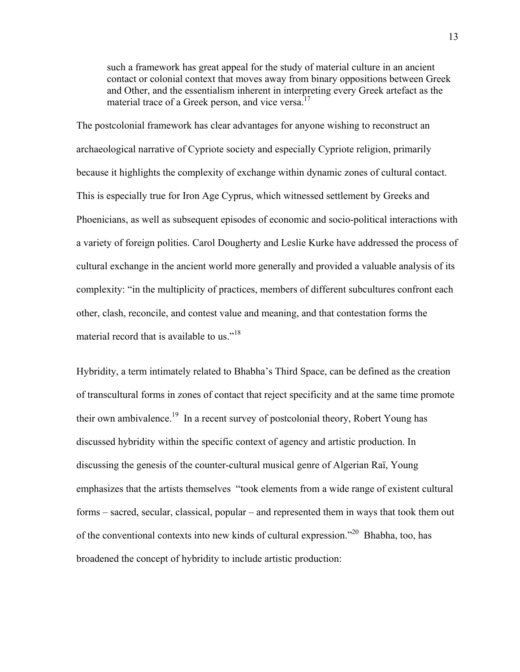such a framework has great appeal for the study of material culture in an ancient contact or colonial context that moves away from binary oppositions between Greek and Other, and the essentialism inherent in interpreting every Greek artefact as the material trace of a Greek person, and vice versa. $17$ 

The postcolonial framework has clear advantages for anyone wishing to reconstruct an archaeological narrative of Cypriote society and especially Cypriote religion, primarily because it highlights the complexity of exchange within dynamic zones of cultural contact. This is especially true for Iron Age Cyprus, which witnessed settlement by Greeks and Phoenicians, as well as subsequent episodes of economic and socio-political interactions with a variety of foreign polities. Carol Dougherty and Leslie Kurke have addressed the process of cultural exchange in the ancient world more generally and provided a valuable analysis of its complexity: "in the multiplicity of practices, members of different subcultures confront each other, clash, reconcile, and contest value and meaning, and that contestation forms the material record that is available to us."<sup>18</sup>

Hybridity, a term intimately related to Bhabha's Third Space, can be defined as the creation of transcultural forms in zones of contact that reject specificity and at the same time promote their own ambivalence.19 In a recent survey of postcolonial theory, Robert Young has discussed hybridity within the specific context of agency and artistic production. In discussing the genesis of the counter-cultural musical genre of Algerian Raï, Young emphasizes that the artists themselves "took elements from a wide range of existent cultural forms – sacred, secular, classical, popular – and represented them in ways that took them out of the conventional contexts into new kinds of cultural expression."20 Bhabha, too, has broadened the concept of hybridity to include artistic production: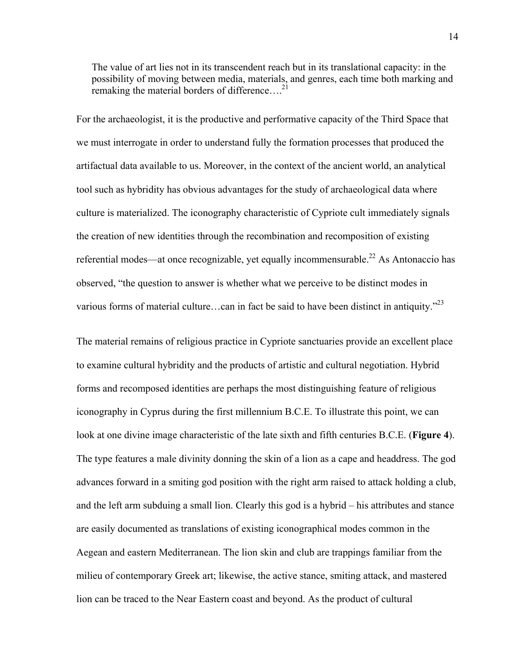The value of art lies not in its transcendent reach but in its translational capacity: in the possibility of moving between media, materials, and genres, each time both marking and remaking the material borders of difference....<sup>21</sup>

For the archaeologist, it is the productive and performative capacity of the Third Space that we must interrogate in order to understand fully the formation processes that produced the artifactual data available to us. Moreover, in the context of the ancient world, an analytical tool such as hybridity has obvious advantages for the study of archaeological data where culture is materialized. The iconography characteristic of Cypriote cult immediately signals the creation of new identities through the recombination and recomposition of existing referential modes—at once recognizable, yet equally incommensurable.<sup>22</sup> As Antonaccio has observed, "the question to answer is whether what we perceive to be distinct modes in various forms of material culture...can in fact be said to have been distinct in antiquity."<sup>23</sup>

The material remains of religious practice in Cypriote sanctuaries provide an excellent place to examine cultural hybridity and the products of artistic and cultural negotiation. Hybrid forms and recomposed identities are perhaps the most distinguishing feature of religious iconography in Cyprus during the first millennium B.C.E. To illustrate this point, we can look at one divine image characteristic of the late sixth and fifth centuries B.C.E. (**Figure 4**). The type features a male divinity donning the skin of a lion as a cape and headdress. The god advances forward in a smiting god position with the right arm raised to attack holding a club, and the left arm subduing a small lion. Clearly this god is a hybrid – his attributes and stance are easily documented as translations of existing iconographical modes common in the Aegean and eastern Mediterranean. The lion skin and club are trappings familiar from the milieu of contemporary Greek art; likewise, the active stance, smiting attack, and mastered lion can be traced to the Near Eastern coast and beyond. As the product of cultural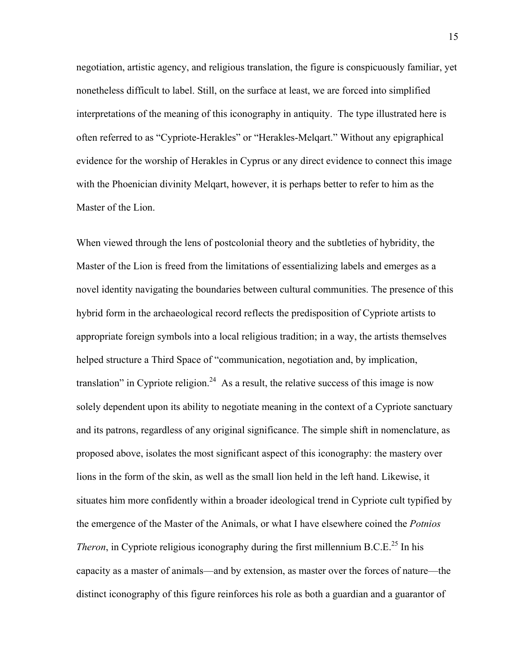negotiation, artistic agency, and religious translation, the figure is conspicuously familiar, yet nonetheless difficult to label. Still, on the surface at least, we are forced into simplified interpretations of the meaning of this iconography in antiquity. The type illustrated here is often referred to as "Cypriote-Herakles" or "Herakles-Melqart." Without any epigraphical evidence for the worship of Herakles in Cyprus or any direct evidence to connect this image with the Phoenician divinity Melqart, however, it is perhaps better to refer to him as the Master of the Lion.

When viewed through the lens of postcolonial theory and the subtleties of hybridity, the Master of the Lion is freed from the limitations of essentializing labels and emerges as a novel identity navigating the boundaries between cultural communities. The presence of this hybrid form in the archaeological record reflects the predisposition of Cypriote artists to appropriate foreign symbols into a local religious tradition; in a way, the artists themselves helped structure a Third Space of "communication, negotiation and, by implication, translation" in Cypriote religion.<sup>24</sup> As a result, the relative success of this image is now solely dependent upon its ability to negotiate meaning in the context of a Cypriote sanctuary and its patrons, regardless of any original significance. The simple shift in nomenclature, as proposed above, isolates the most significant aspect of this iconography: the mastery over lions in the form of the skin, as well as the small lion held in the left hand. Likewise, it situates him more confidently within a broader ideological trend in Cypriote cult typified by the emergence of the Master of the Animals, or what I have elsewhere coined the *Potnios Theron*, in Cypriote religious iconography during the first millennium B.C.E.<sup>25</sup> In his capacity as a master of animals—and by extension, as master over the forces of nature—the distinct iconography of this figure reinforces his role as both a guardian and a guarantor of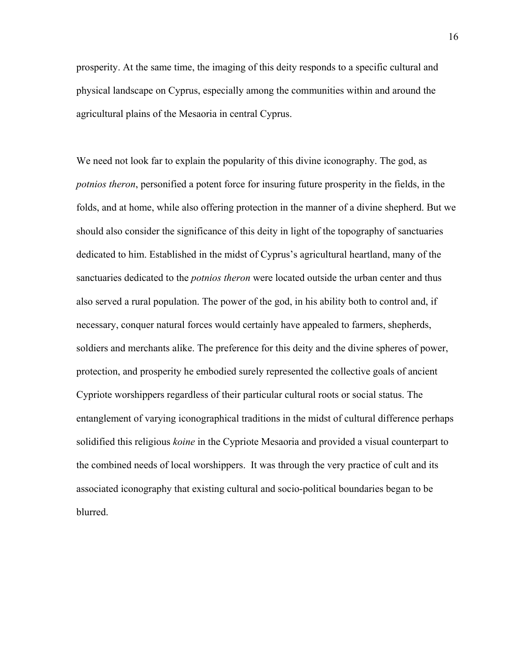prosperity. At the same time, the imaging of this deity responds to a specific cultural and physical landscape on Cyprus, especially among the communities within and around the agricultural plains of the Mesaoria in central Cyprus.

We need not look far to explain the popularity of this divine iconography. The god, as *potnios theron*, personified a potent force for insuring future prosperity in the fields, in the folds, and at home, while also offering protection in the manner of a divine shepherd. But we should also consider the significance of this deity in light of the topography of sanctuaries dedicated to him. Established in the midst of Cyprus's agricultural heartland, many of the sanctuaries dedicated to the *potnios theron* were located outside the urban center and thus also served a rural population. The power of the god, in his ability both to control and, if necessary, conquer natural forces would certainly have appealed to farmers, shepherds, soldiers and merchants alike. The preference for this deity and the divine spheres of power, protection, and prosperity he embodied surely represented the collective goals of ancient Cypriote worshippers regardless of their particular cultural roots or social status. The entanglement of varying iconographical traditions in the midst of cultural difference perhaps solidified this religious *koine* in the Cypriote Mesaoria and provided a visual counterpart to the combined needs of local worshippers. It was through the very practice of cult and its associated iconography that existing cultural and socio-political boundaries began to be blurred.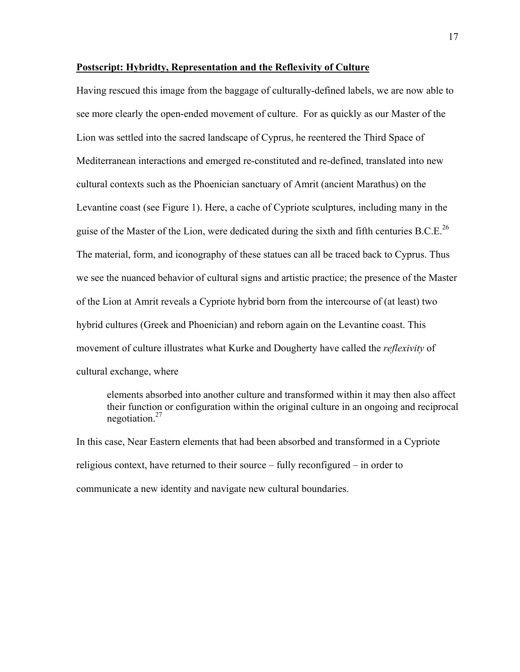#### **Postscript: Hybridty, Representation and the Reflexivity of Culture**

Having rescued this image from the baggage of culturally-defined labels, we are now able to see more clearly the open-ended movement of culture. For as quickly as our Master of the Lion was settled into the sacred landscape of Cyprus, he reentered the Third Space of Mediterranean interactions and emerged re-constituted and re-defined, translated into new cultural contexts such as the Phoenician sanctuary of Amrit (ancient Marathus) on the Levantine coast (see Figure 1). Here, a cache of Cypriote sculptures, including many in the guise of the Master of the Lion, were dedicated during the sixth and fifth centuries  $B.C.E.<sup>26</sup>$ The material, form, and iconography of these statues can all be traced back to Cyprus. Thus we see the nuanced behavior of cultural signs and artistic practice; the presence of the Master of the Lion at Amrit reveals a Cypriote hybrid born from the intercourse of (at least) two hybrid cultures (Greek and Phoenician) and reborn again on the Levantine coast. This movement of culture illustrates what Kurke and Dougherty have called the *reflexivity* of cultural exchange, where

elements absorbed into another culture and transformed within it may then also affect their function or configuration within the original culture in an ongoing and reciprocal negotiation.<sup>27</sup>

In this case, Near Eastern elements that had been absorbed and transformed in a Cypriote religious context, have returned to their source – fully reconfigured – in order to communicate a new identity and navigate new cultural boundaries.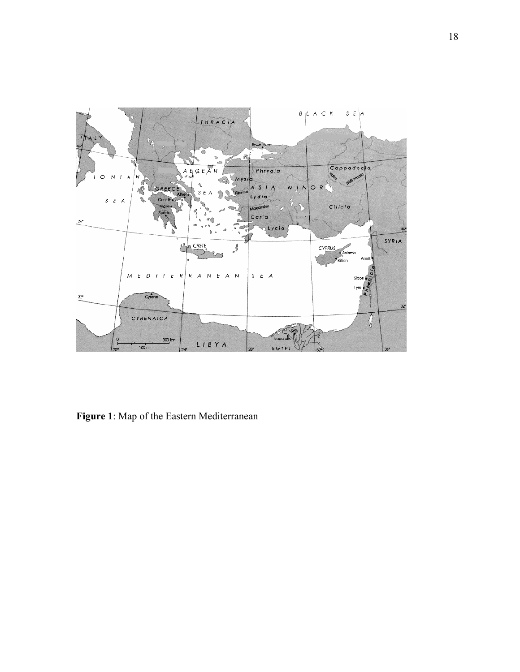

**Figure 1**: Map of the Eastern Mediterranean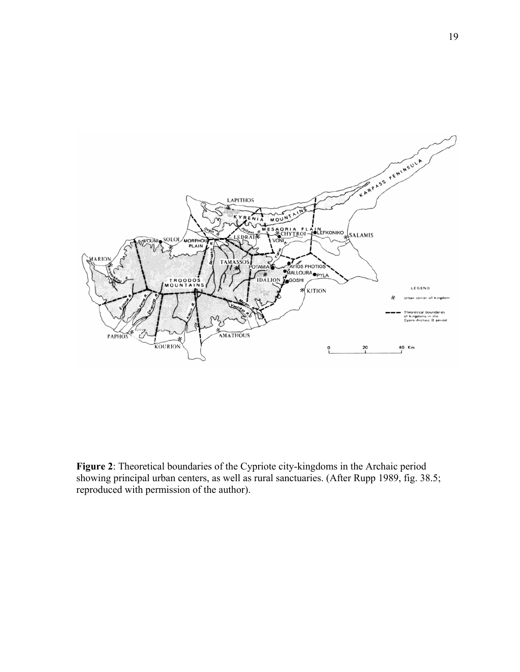

**Figure 2**: Theoretical boundaries of the Cypriote city-kingdoms in the Archaic period showing principal urban centers, as well as rural sanctuaries. (After Rupp 1989, fig. 38.5; reproduced with permission of the author).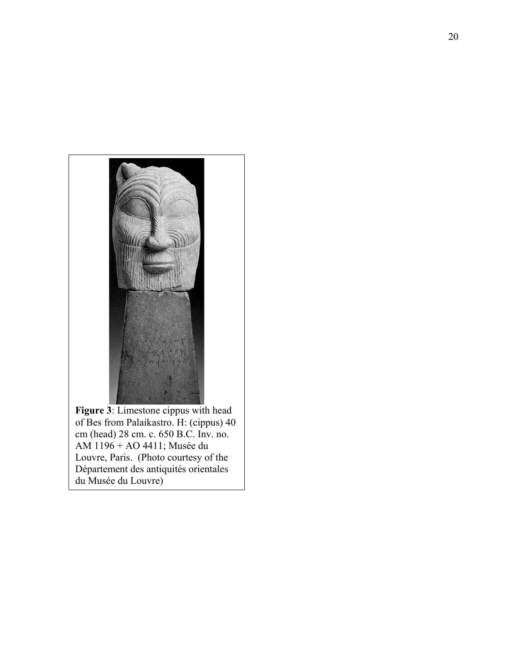

of Bes from Palaikastro. H: (cippus) 40 cm (head) 28 cm. c. 650 B.C. Inv. no. AM 1196 + AO 4411; Musée du Louvre, Paris. (Photo courtesy of the Département des antiquités orientales du Musée du Louvre)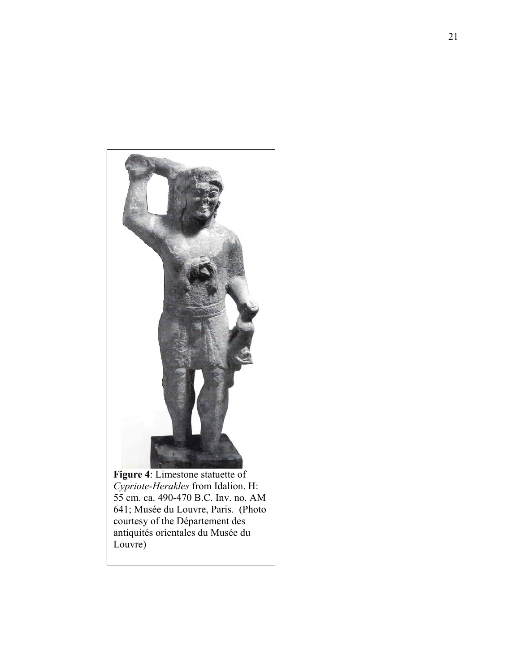

**Figure 4**: Limestone statuette of *Cypriote-Herakles* from Idalion. H: 55 cm. ca. 490-470 B.C. Inv. no. AM 641; Musée du Louvre, Paris. (Photo courtesy of the Département des antiquités orientales du Musée du Louvre)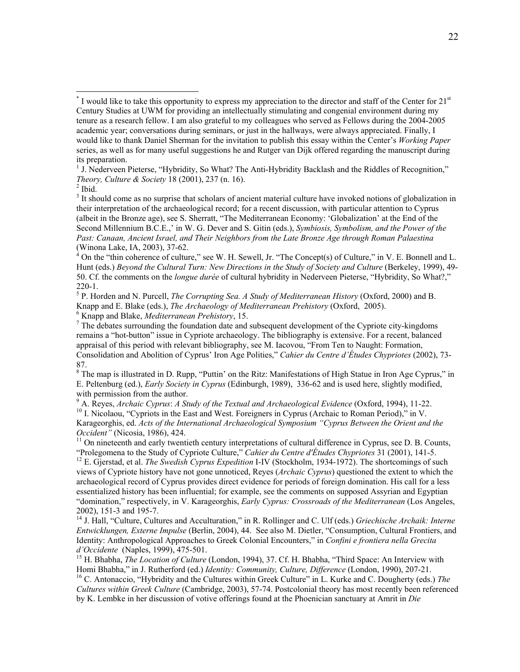<sup>1</sup> J. Nederveen Pieterse, "Hybridity, So What? The Anti-Hybridity Backlash and the Riddles of Recognition," *Theory, Culture & Society* 18 (2001), 237 (n. 16).<br><sup>2</sup> Ibid.

 $\overline{a}$ 

<sup>3</sup> It should come as no surprise that scholars of ancient material culture have invoked notions of globalization in their interpretation of the archaeological record; for a recent discussion, with particular attention to Cyprus (albeit in the Bronze age), see S. Sherratt, "The Mediterranean Economy: 'Globalization' at the End of the Second Millennium B.C.E.,' in W. G. Dever and S. Gitin (eds.), *Symbiosis, Symbolism, and the Power of the Past: Canaan, Ancient Israel, and Their Neighbors from the Late Bronze Age through Roman Palaestina* (Winona Lake, IA, 2003), 37-62.

 $4^4$  On the "thin coherence of culture," see W. H. Sewell, Jr. "The Concept(s) of Culture," in V. E. Bonnell and L. Hunt (eds.) *Beyond the Cultural Turn: New Directions in the Study of Society and Culture* (Berkeley, 1999), 49- 50. Cf. the comments on the *longue durée* of cultural hybridity in Nederveen Pieterse, "Hybridity, So What?," 220-1.

5 P. Horden and N. Purcell, *The Corrupting Sea. A Study of Mediterranean History* (Oxford, 2000) and B. Knapp and E. Blake (eds.), *The Archaeology of Mediterranean Prehistory* (Oxford, 2005). 6 <sup>6</sup> Knapp and Blake, *Mediterranean Prehistory*, 15.

 $7$  The debates surrounding the foundation date and subsequent development of the Cypriote city-kingdoms remains a "hot-button" issue in Cypriote archaeology. The bibliography is extensive. For a recent, balanced appraisal of this period with relevant bibliography, see M. Iacovou, "From Ten to Naught: Formation, Consolidation and Abolition of Cyprus' Iron Age Polities," *Cahier du Centre d'Études Chypriotes* (2002), 73- 87.

<sup>8</sup> The map is illustrated in D. Rupp, "Puttin' on the Ritz: Manifestations of High Statue in Iron Age Cyprus," in E. Peltenburg (ed.), *Early Society in Cyprus* (Edinburgh, 1989), 336-62 and is used here, slightly modified, with permission from the author.

9

<sup>9</sup> A. Reyes, *Archaic Cyprus: A Study of the Textual and Archaeological Evidence* (Oxford, 1994), 11-22. <sup>10</sup> I. Nicolaou, "Cypriots in the East and West. Foreigners in Cyprus (Archaic to Roman Period)," in V. Karageorghis, ed. *Acts of the International Archaeological Symposium "Cyprus Between the Orient and the* 

*Occident"* (Nicosia, 1986), 424.<br><sup>11</sup> On nineteenth and early twentieth century interpretations of cultural difference in Cyprus, see D. B. Counts,<br>"Prolegomena to the Study of Cypriote Culture," *Cahier du Centre d'Étude* 

<sup>12</sup> E. Gjerstad, et al. *The Swedish Cyprus Expedition* I-IV (Stockholm, 1934-1972). The shortcomings of such views of Cypriote history have not gone unnoticed, Reyes (*Archaic Cyprus*) questioned the extent to which the archaeological record of Cyprus provides direct evidence for periods of foreign domination. His call for a less essentialized history has been influential; for example, see the comments on supposed Assyrian and Egyptian "domination," respectively, in V. Karageorghis, *Early Cyprus: Crossroads of the Mediterranean* (Los Angeles, 2002), 151-3 and 195-7.

14 J. Hall, "Culture, Cultures and Acculturation," in R. Rollinger and C. Ulf (eds.) *Griechische Archaik: Interne Entwicklungen, Externe Impulse* (Berlin, 2004), 44. See also M. Dietler, "Consumption, Cultural Frontiers, and Identity: Anthropological Approaches to Greek Colonial Encounters," in *Confini e frontiera nella Grecita* 

*d'Occidente* (Naples, 1999), 475-501.<br><sup>15</sup> H. Bhabha, *The Location of Culture* (London, 1994), 37. Cf. H. Bhabha, "Third Space: An Interview with<br>Homi Bhabha," in J. Rutherford (ed.) *Identity: Community, Culture, Differ* 

<sup>16</sup> C. Antonaccio, "Hybridity and the Cultures within Greek Culture" in L. Kurke and C. Dougherty (eds.) *The Cultures within Greek Culture* (Cambridge, 2003), 57-74. Postcolonial theory has most recently been referenced by K. Lembke in her discussion of votive offerings found at the Phoenician sanctuary at Amrit in *Die* 

<sup>&</sup>lt;sup>\*</sup> I would like to take this opportunity to express my appreciation to the director and staff of the Center for 21<sup>st</sup> Century Studies at UWM for providing an intellectually stimulating and congenial environment during my tenure as a research fellow. I am also grateful to my colleagues who served as Fellows during the 2004-2005 academic year; conversations during seminars, or just in the hallways, were always appreciated. Finally, I would like to thank Daniel Sherman for the invitation to publish this essay within the Center's *Working Paper* series, as well as for many useful suggestions he and Rutger van Dijk offered regarding the manuscript during its preparation.